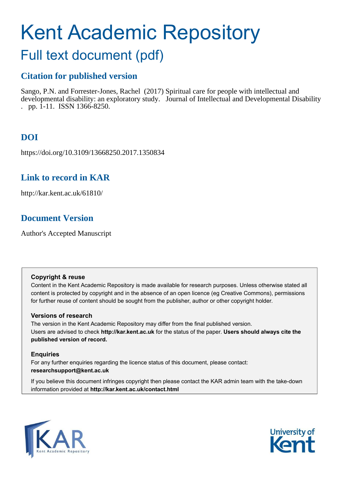# Kent Academic Repository

# Full text document (pdf)

## **Citation for published version**

Sango, P.N. and Forrester-Jones, Rachel (2017) Spiritual care for people with intellectual and developmental disability: an exploratory study. Journal of Intellectual and Developmental Disability . pp. 1-11. ISSN 1366-8250.

# **DOI**

https://doi.org/10.3109/13668250.2017.1350834

### **Link to record in KAR**

http://kar.kent.ac.uk/61810/

### **Document Version**

Author's Accepted Manuscript

#### **Copyright & reuse**

Content in the Kent Academic Repository is made available for research purposes. Unless otherwise stated all content is protected by copyright and in the absence of an open licence (eg Creative Commons), permissions for further reuse of content should be sought from the publisher, author or other copyright holder.

#### **Versions of research**

The version in the Kent Academic Repository may differ from the final published version. Users are advised to check **http://kar.kent.ac.uk** for the status of the paper. **Users should always cite the published version of record.**

#### **Enquiries**

For any further enquiries regarding the licence status of this document, please contact: **researchsupport@kent.ac.uk**

If you believe this document infringes copyright then please contact the KAR admin team with the take-down information provided at **http://kar.kent.ac.uk/contact.html**



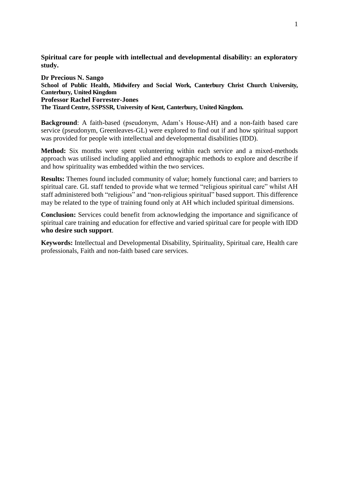**Spiritual care for people with intellectual and developmental disability: an exploratory study.**

**Dr Precious N. Sango School of Public Health, Midwifery and Social Work, Canterbury Christ Church University, Canterbury, United Kingdom Professor Rachel Forrester-Jones The Tizard Centre, SSPSSR, University of Kent, Canterbury, United Kingdom.** 

**Background**: A faith-based (pseudonym, Adam's House-AH) and a non-faith based care service (pseudonym, Greenleaves-GL) were explored to find out if and how spiritual support was provided for people with intellectual and developmental disabilities (IDD).

**Method:** Six months were spent volunteering within each service and a mixed-methods approach was utilised including applied and ethnographic methods to explore and describe if and how spirituality was embedded within the two services.

**Results:** Themes found included community of value; homely functional care; and barriers to spiritual care. GL staff tended to provide what we termed "religious spiritual care" whilst AH staff administered both "religious" and "non-religious spiritual" based support. This difference may be related to the type of training found only at AH which included spiritual dimensions.

**Conclusion:** Services could benefit from acknowledging the importance and significance of spiritual care training and education for effective and varied spiritual care for people with IDD **who desire such support**.

**Keywords:** Intellectual and Developmental Disability, Spirituality, Spiritual care, Health care professionals, Faith and non-faith based care services.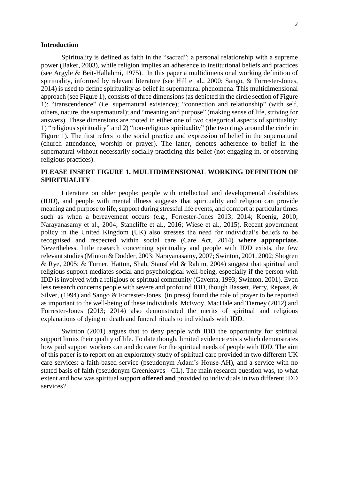#### **Introduction**

Spirituality is defined as faith in the "sacred"; a personal relationship with a supreme power (Baker, 2003), while religion implies an adherence to institutional beliefs and practices (see Argyle & Beit-Hallahmi, 1975). In this paper a multidimensional working definition of spirituality, informed by relevant literature (see Hill et al., 2000; Sango, & Forrester-Jones, 2014) is used to define spirituality as belief in supernatural phenomena. This multidimensional approach (see Figure 1), consists of three dimensions (as depicted in the circle section of Figure 1): "transcendence" (i.e. supernatural existence); "connection and relationship" (with self, others, nature, the supernatural); and "meaning and purpose" (making sense of life, striving for answers). These dimensions are rooted in either one of two categorical aspects of spirituality: 1) "religious spirituality" and 2) "non-religious spirituality" (the two rings around the circle in Figure 1). The first refers to the social practice and expression of belief in the supernatural (church attendance, worship or prayer). The latter, denotes adherence to belief in the supernatural without necessarily socially practicing this belief (not engaging in, or observing religious practices).

#### **PLEASE INSERT FIGURE 1. MULTIDIMENSIONAL WORKING DEFINITION OF SPIRITUALITY**

Literature on older people; people with intellectual and developmental disabilities (IDD), and people with mental illness suggests that spirituality and religion can provide meaning and purpose to life, support during stressful life events, and comfort at particular times such as when a bereavement occurs (e.g., Forrester-Jones 2013; 2014; Koenig, 2010; Narayanasamy et al., 2004; Stancliffe et al., 2016; Wiese et al., 2015). Recent government policy in the United Kingdom (UK) also stresses the need for individual's beliefs to be recognised and respected within social care (Care Act, 2014) **where appropriate.** Nevertheless, little research concerning spirituality and people with IDD exists, the few relevant studies (Minton & Dodder, 2003; Narayanasamy, 2007; Swinton, 2001, 2002; Shogren & Rye, 2005; & Turner, Hatton, Shah, Stansfield & Rahim, 2004) suggest that spiritual and religious support mediates social and psychological well-being, especially if the person with IDD is involved with a religious or spiritual community (Gaventa, 1993; Swinton, 2001). Even less research concerns people with severe and profound IDD, though Bassett, Perry, Repass, & Silver, (1994) and Sango & Forrester-Jones, (in press) found the role of prayer to be reported as important to the well-being of these individuals. McEvoy, MacHale and Tierney (2012) and Forrester-Jones (2013; 2014) also demonstrated the merits of spiritual and religious explanations of dying or death and funeral rituals to individuals with IDD.

Swinton (2001) argues that to deny people with IDD the opportunity for spiritual support limits their quality of life. To date though, limited evidence exists which demonstrates how paid support workers can and do cater for the spiritual needs of people with IDD. The aim of this paper is to report on an exploratory study of spiritual care provided in two different UK care services: a faith-based service (pseudonym Adam's House-AH), and a service with no stated basis of faith (pseudonym Greenleaves - GL). The main research question was, to what extent and how was spiritual support **offered and** provided to individuals in two different IDD services?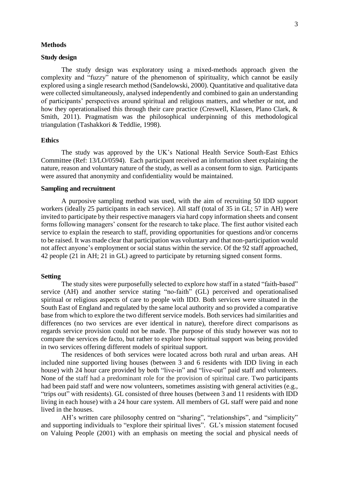#### **Methods**

#### **Study design**

The study design was exploratory using a mixed-methods approach given the complexity and "fuzzy" nature of the phenomenon of spirituality, which cannot be easily explored using a single research method (Sandelowski, 2000). Quantitative and qualitative data were collected simultaneously, analysed independently and combined to gain an understanding of participants' perspectives around spiritual and religious matters, and whether or not, and how they operationalised this through their care practice (Creswell, Klassen, Plano Clark, & Smith, 2011). Pragmatism was the philosophical underpinning of this methodological triangulation (Tashakkori & Teddlie, 1998).

#### **Ethics**

The study was approved by the UK's National Health Service South-East Ethics Committee (Ref: 13/LO/0594). Each participant received an information sheet explaining the nature, reason and voluntary nature of the study, as well as a consent form to sign. Participants were assured that anonymity and confidentiality would be maintained.

#### **Sampling and recruitment**

A purposive sampling method was used, with the aim of recruiting 50 IDD support workers (ideally 25 participants in each service). All staff (total of 35 in GL; 57 in AH) were invited to participate by their respective managers via hard copy information sheets and consent forms following managers' consent for the research to take place. The first author visited each service to explain the research to staff, providing opportunities for questions and/or concerns to be raised. It was made clear that participation was voluntary and that non-participation would not affect anyone's employment or social status within the service. Of the 92 staff approached, 42 people (21 in AH; 21 in GL) agreed to participate by returning signed consent forms.

#### **Setting**

The study sites were purposefully selected to explore how staff in a stated "faith-based" service (AH) and another service stating "no-faith" (GL) perceived and operationalised spiritual or religious aspects of care to people with IDD. Both services were situated in the South East of England and regulated by the same local authority and so provided a comparative base from which to explore the two different service models. Both services had similarities and differences (no two services are ever identical in nature), therefore direct comparisons as regards service provision could not be made. The purpose of this study however was not to compare the services de facto, but rather to explore how spiritual support was being provided in two services offering different models of spiritual support.

The residences of both services were located across both rural and urban areas. AH included nine supported living houses (between 3 and 6 residents with IDD living in each house) with 24 hour care provided by both "live-in" and "live-out" paid staff and volunteers. None of the staff had a predominant role for the provision of spiritual care. Two participants had been paid staff and were now volunteers, sometimes assisting with general activities (e.g., "trips out" with residents). GL consisted of three houses (between 3 and 11 residents with IDD living in each house) with a 24 hour care system. All members of GL staff were paid and none lived in the houses.

AH's written care philosophy centred on "sharing", "relationships", and "simplicity" and supporting individuals to "explore their spiritual lives". GL's mission statement focused on Valuing People (2001) with an emphasis on meeting the social and physical needs of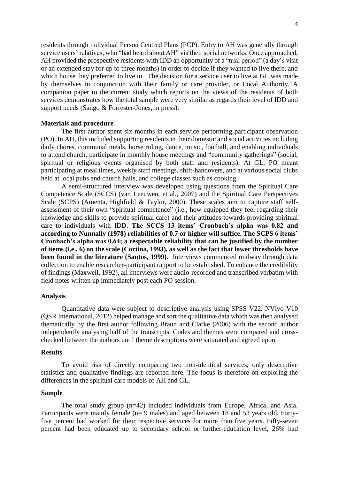residents through individual Person Centred Plans (PCP). Entry to AH was generally through service users' relatives, who "had heard about AH" via their social networks. Once approached, AH provided the prospective residents with IDD an opportunity of a "trial period" (a day's visit or an extended stay for up to three months) in order to decide if they wanted to live there, and which house they preferred to live in. The decision for a service user to live at GL was made by themselves in conjunction with their family or care provider, or Local Authority. A companion paper to the current study which reports on the views of the residents of both services demonstrates how the total sample were very similar as regards their level of IDD and support needs (Sango & Forrester-Jones, in press).

#### **Materials and procedure**

The first author spent six months in each service performing participant observation (PO). In AH, this included supporting residents in their domestic and social activities including daily chores, communal meals, horse riding, dance, music, football, and enabling individuals to attend church, participate in monthly house meetings and "community gatherings" (social, spiritual or religious events organised by both staff and residents). At GL, PO meant participating at meal times, weekly staff meetings, shift-handovers, and at various social clubs held at local pubs and church halls, and college classes such as cooking.

A semi-structured interview was developed using questions from the Spiritual Care Competence Scale (SCCS) (van Leeuwen, et al., 2007) and the Spiritual Care Perspectives Scale (SCPS) (Amenta, Highfield & Taylor, 2000). These scales aim to capture staff selfassessment of their own "spiritual competence" (i.e., how equipped they feel regarding their knowledge and skills to provide spiritual care) and their attitudes towards providing spiritual care to individuals with IDD. **The SCCS 13 items' Cronbach's alpha was 0.82 and according to Nunnally (1978) reliabilities of 0.7 or higher will suffice. The SCPS 6 items' Cronbach's alpha was 0.64; a respectable reliability that can be justified by the number of items (i.e., 6) on the scale (Cortina, 1993), as well as the fact that lower thresholds have been found in the literature (Santos, 1999).** Interviews commenced midway through data collection to enable researcher-participant rapport to be established. To enhance the credibility of findings (Maxwell, 1992), all interviews were audio-recorded and transcribed verbatim with field notes written up immediately post each PO session.

#### **Analysis**

Quantitative data were subject to descriptive analysis using SPSS V22. NVivo V10 (QSR International, 2012) helped manage and sort the qualitative data which was then analysed thematically by the first author following Braun and Clarke (2006) with the second author independently analysing half of the transcripts. Codes and themes were compared and crosschecked between the authors until theme descriptions were saturated and agreed upon.

#### **Results**

To avoid risk of directly comparing two non-identical services, only descriptive statistics and qualitative findings are reported here. The focus is therefore on exploring the differences in the spiritual care models of AH and GL.

#### **Sample**

The total study group (n=42) included individuals from Europe, Africa, and Asia. Participants were mainly female (n= 9 males) and aged between 18 and 53 years old. Fortyfive percent had worked for their respective services for more than five years. Fifty-seven percent had been educated up to secondary school or further-education level, 26% had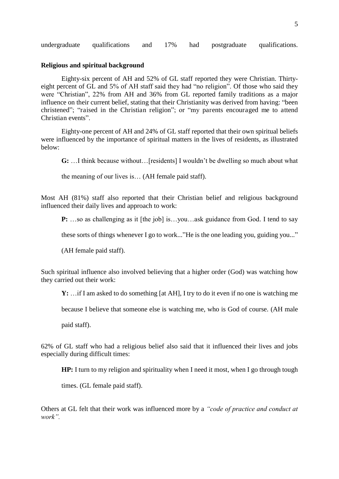| undergraduate | qualifications | and | 7% | had | postgraduate | qualifications. |
|---------------|----------------|-----|----|-----|--------------|-----------------|
|               |                |     |    |     |              |                 |

#### **Religious and spiritual background**

Eighty-six percent of AH and 52% of GL staff reported they were Christian. Thirtyeight percent of GL and 5% of AH staff said they had "no religion". Of those who said they were "Christian", 22% from AH and 36% from GL reported family traditions as a major influence on their current belief, stating that their Christianity was derived from having: "been christened"; "raised in the Christian religion"; or "my parents encouraged me to attend Christian events".

Eighty-one percent of AH and 24% of GL staff reported that their own spiritual beliefs were influenced by the importance of spiritual matters in the lives of residents, as illustrated below:

**G:** …I think because without…[residents] I wouldn't be dwelling so much about what

the meaning of our lives is… (AH female paid staff).

Most AH (81%) staff also reported that their Christian belief and religious background influenced their daily lives and approach to work:

**P:** ...so as challenging as it [the job] is...you...ask guidance from God. I tend to say

these sorts of things whenever I go to work..."He is the one leading you, guiding you..."

(AH female paid staff).

Such spiritual influence also involved believing that a higher order (God) was watching how they carried out their work:

**Y:** …if I am asked to do something [at AH], I try to do it even if no one is watching me

because I believe that someone else is watching me, who is God of course. (AH male

paid staff).

62% of GL staff who had a religious belief also said that it influenced their lives and jobs especially during difficult times:

**HP:** I turn to my religion and spirituality when I need it most, when I go through tough

times. (GL female paid staff).

Others at GL felt that their work was influenced more by a *"code of practice and conduct at work".*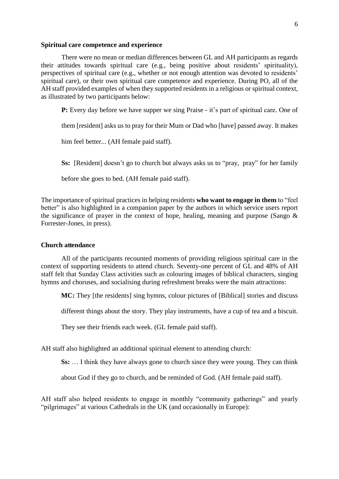#### **Spiritual care competence and experience**

There were no mean or median differences between GL and AH participants as regards their attitudes towards spiritual care (e.g., being positive about residents' spirituality), perspectives of spiritual care (e.g., whether or not enough attention was devoted to residents' spiritual care), or their own spiritual care competence and experience. During PO, all of the AH staff provided examples of when they supported residents in a religious or spiritual context, as illustrated by two participants below:

**P:** Every day before we have supper we sing Praise - it's part of spiritual care. One of

them [resident] asks us to pray for their Mum or Dad who [have] passed away. It makes

him feel better... (AH female paid staff).

**Ss:** [Resident] doesn't go to church but always asks us to "pray, pray" for her family

before she goes to bed. (AH female paid staff).

The importance of spiritual practices in helping residents **who want to engage in them** to "feel better" is also highlighted in a companion paper by the authors in which service users report the significance of prayer in the context of hope, healing, meaning and purpose (Sango  $\&$ Forrester-Jones, in press).

#### **Church attendance**

All of the participants recounted moments of providing religious spiritual care in the context of supporting residents to attend church. Seventy-one percent of GL and 48% of AH staff felt that Sunday Class activities such as colouring images of biblical characters, singing hymns and choruses, and socialising during refreshment breaks were the main attractions:

**MC:** They [the residents] sing hymns, colour pictures of [Biblical] stories and discuss

different things about the story. They play instruments, have a cup of tea and a biscuit.

They see their friends each week. (GL female paid staff).

AH staff also highlighted an additional spiritual element to attending church:

**Ss:** … I think they have always gone to church since they were young. They can think

about God if they go to church, and be reminded of God. (AH female paid staff).

AH staff also helped residents to engage in monthly "community gatherings" and yearly "pilgrimages" at various Cathedrals in the UK (and occasionally in Europe):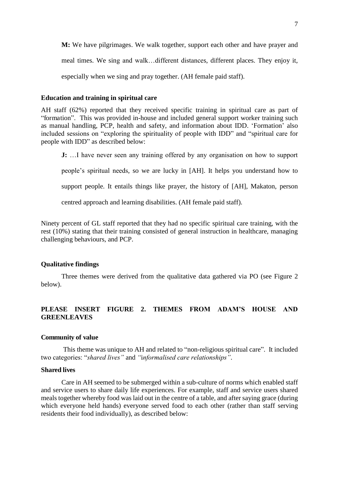**M:** We have pilgrimages. We walk together, support each other and have prayer and meal times. We sing and walk…different distances, different places. They enjoy it, especially when we sing and pray together. (AH female paid staff).

#### **Education and training in spiritual care**

AH staff (62%) reported that they received specific training in spiritual care as part of "formation". This was provided in-house and included general support worker training such as manual handling, PCP, health and safety, and information about IDD. 'Formation' also included sessions on "exploring the spirituality of people with IDD" and "spiritual care for people with IDD" as described below:

**J:** …I have never seen any training offered by any organisation on how to support people's spiritual needs, so we are lucky in [AH]. It helps you understand how to support people. It entails things like prayer, the history of [AH], Makaton, person centred approach and learning disabilities. (AH female paid staff).

Ninety percent of GL staff reported that they had no specific spiritual care training, with the rest (10%) stating that their training consisted of general instruction in healthcare, managing challenging behaviours, and PCP.

#### **Qualitative findings**

Three themes were derived from the qualitative data gathered via PO (see Figure 2 below).

#### **PLEASE INSERT FIGURE 2. THEMES FROM ADAM'S HOUSE AND GREENLEAVES**

#### **Community of value**

 This theme was unique to AH and related to "non-religious spiritual care". It included two categories: "*shared lives"* and *"*i*nformalised care relationships"*.

#### **Shared lives**

Care in AH seemed to be submerged within a sub-culture of norms which enabled staff and service users to share daily life experiences. For example, staff and service users shared meals together whereby food was laid out in the centre of a table, and after saying grace (during which everyone held hands) everyone served food to each other (rather than staff serving residents their food individually), as described below: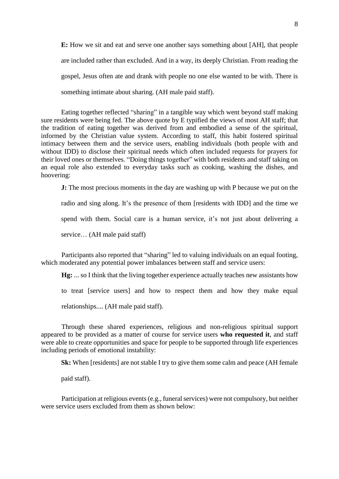**E:** How we sit and eat and serve one another says something about [AH], that people are included rather than excluded. And in a way, its deeply Christian. From reading the gospel, Jesus often ate and drank with people no one else wanted to be with. There is something intimate about sharing. (AH male paid staff).

Eating together reflected "sharing" in a tangible way which went beyond staff making sure residents were being fed. The above quote by E typified the views of most AH staff; that the tradition of eating together was derived from and embodied a sense of the spiritual, informed by the Christian value system. According to staff, this habit fostered spiritual intimacy between them and the service users, enabling individuals (both people with and without IDD) to disclose their spiritual needs which often included requests for prayers for their loved ones or themselves. "Doing things together" with both residents and staff taking on an equal role also extended to everyday tasks such as cooking, washing the dishes, and hoovering:

**J:** The most precious moments in the day are washing up with P because we put on the radio and sing along. It's the presence of them [residents with IDD] and the time we spend with them. Social care is a human service, it's not just about delivering a service… (AH male paid staff)

Participants also reported that "sharing" led to valuing individuals on an equal footing, which moderated any potential power imbalances between staff and service users:

**Hg:** ... so I think that the living together experience actually teaches new assistants how

to treat [service users] and how to respect them and how they make equal

relationships.... (AH male paid staff).

Through these shared experiences, religious and non-religious spiritual support appeared to be provided as a matter of course for service users **who requested it**, and staff were able to create opportunities and space for people to be supported through life experiences including periods of emotional instability:

**Sk:** When [residents] are not stable I try to give them some calm and peace (AH female

paid staff).

Participation at religious events (e.g., funeral services) were not compulsory, but neither were service users excluded from them as shown below: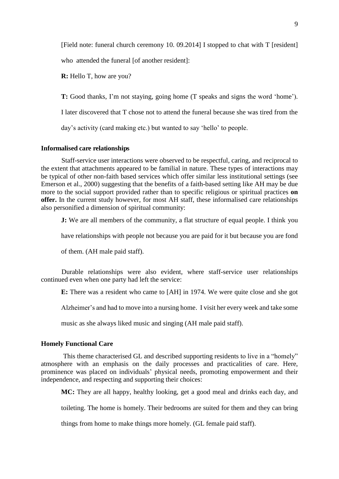[Field note: funeral church ceremony 10. 09.2014] I stopped to chat with T [resident]

who attended the funeral [of another resident]:

**R:** Hello T, how are you?

**T:** Good thanks, I'm not staying, going home (T speaks and signs the word 'home').

I later discovered that T chose not to attend the funeral because she was tired from the

day's activity (card making etc.) but wanted to say 'hello' to people.

#### **Informalised care relationships**

Staff-service user interactions were observed to be respectful, caring, and reciprocal to the extent that attachments appeared to be familial in nature. These types of interactions may be typical of other non-faith based services which offer similar less institutional settings (see Emerson et al., 2000) suggesting that the benefits of a faith-based setting like AH may be due more to the social support provided rather than to specific religious or spiritual practices **on offer.** In the current study however, for most AH staff, these informalised care relationships also personified a dimension of spiritual community:

**J:** We are all members of the community, a flat structure of equal people. I think you

have relationships with people not because you are paid for it but because you are fond

of them. (AH male paid staff).

Durable relationships were also evident, where staff-service user relationships continued even when one party had left the service:

**E:** There was a resident who came to [AH] in 1974. We were quite close and she got

Alzheimer's and had to move into a nursing home. I visit her every week and take some

music as she always liked music and singing (AH male paid staff).

#### **Homely Functional Care**

 This theme characterised GL and described supporting residents to live in a "homely" atmosphere with an emphasis on the daily processes and practicalities of care. Here, prominence was placed on individuals' physical needs, promoting empowerment and their independence, and respecting and supporting their choices:

**MC:** They are all happy, healthy looking, get a good meal and drinks each day, and

toileting. The home is homely. Their bedrooms are suited for them and they can bring

things from home to make things more homely. (GL female paid staff).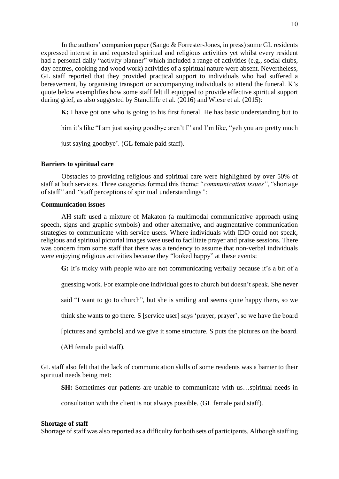In the authors' companion paper (Sango & Forrester-Jones, in press) some GL residents expressed interest in and requested spiritual and religious activities yet whilst every resident had a personal daily "activity planner" which included a range of activities (e.g., social clubs, day centres, cooking and wood work) activities of a spiritual nature were absent. Nevertheless, GL staff reported that they provided practical support to individuals who had suffered a bereavement, by organising transport or accompanying individuals to attend the funeral. K's quote below exemplifies how some staff felt ill equipped to provide effective spiritual support during grief, as also suggested by Stancliffe et al. (2016) and Wiese et al. (2015):

**K:** I have got one who is going to his first funeral. He has basic understanding but to

him it's like "I am just saying goodbye aren't I" and I'm like, "yeh you are pretty much

just saying goodbye'. (GL female paid staff).

#### **Barriers to spiritual care**

Obstacles to providing religious and spiritual care were highlighted by over 50% of staff at both services. Three categories formed this theme: "*communication issues"*, "shortage of staff*"* and *"*staff perceptions of spiritual understandings*"*:

#### **Communication issues**

AH staff used a mixture of Makaton (a multimodal communicative approach using speech, signs and graphic symbols) and other alternative, and augmentative communication strategies to communicate with service users. Where individuals with IDD could not speak, religious and spiritual pictorial images were used to facilitate prayer and praise sessions. There was concern from some staff that there was a tendency to assume that non-verbal individuals were enjoying religious activities because they "looked happy" at these events:

**G:** It's tricky with people who are not communicating verbally because it's a bit of a

guessing work. For example one individual goes to church but doesn't speak. She never

said "I want to go to church", but she is smiling and seems quite happy there, so we

think she wants to go there. S [service user] says 'prayer, prayer', so we have the board

[pictures and symbols] and we give it some structure. S puts the pictures on the board.

(AH female paid staff).

GL staff also felt that the lack of communication skills of some residents was a barrier to their spiritual needs being met:

**SH:** Sometimes our patients are unable to communicate with us…spiritual needs in

consultation with the client is not always possible. (GL female paid staff).

#### **Shortage of staff**

Shortage of staff was also reported as a difficulty for both sets of participants. Although staffing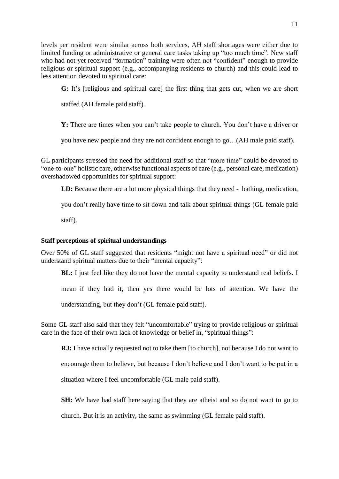levels per resident were similar across both services, AH staff shortages were either due to limited funding or administrative or general care tasks taking up "too much time". New staff who had not yet received "formation" training were often not "confident" enough to provide religious or spiritual support (e.g., accompanying residents to church) and this could lead to less attention devoted to spiritual care:

**G:** It's [religious and spiritual care] the first thing that gets cut, when we are short

staffed (AH female paid staff).

**Y:** There are times when you can't take people to church. You don't have a driver or

you have new people and they are not confident enough to go…(AH male paid staff).

GL participants stressed the need for additional staff so that "more time" could be devoted to "one-to-one" holistic care, otherwise functional aspects of care (e.g., personal care, medication) overshadowed opportunities for spiritual support:

LD: Because there are a lot more physical things that they need - bathing, medication,

you don't really have time to sit down and talk about spiritual things (GL female paid

staff).

#### **Staff perceptions of spiritual understandings**

Over 50% of GL staff suggested that residents "might not have a spiritual need" or did not understand spiritual matters due to their "mental capacity":

**BL:** I just feel like they do not have the mental capacity to understand real beliefs. I

mean if they had it, then yes there would be lots of attention. We have the

understanding, but they don't (GL female paid staff).

Some GL staff also said that they felt "uncomfortable" trying to provide religious or spiritual care in the face of their own lack of knowledge or belief in, "spiritual things":

**RJ:** I have actually requested not to take them [to church], not because I do not want to encourage them to believe, but because I don't believe and I don't want to be put in a

situation where I feel uncomfortable (GL male paid staff).

**SH:** We have had staff here saying that they are atheist and so do not want to go to

church. But it is an activity, the same as swimming (GL female paid staff).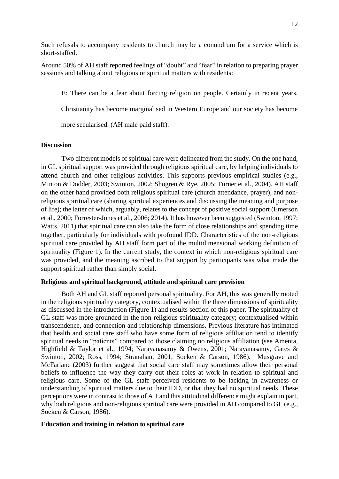Such refusals to accompany residents to church may be a conundrum for a service which is short-staffed.

Around 50% of AH staff reported feelings of "doubt" and "fear" in relation to preparing prayer sessions and talking about religious or spiritual matters with residents:

**E**: There can be a fear about forcing religion on people. Certainly in recent years, Christianity has become marginalised in Western Europe and our society has become more secularised. (AH male paid staff).

#### **Discussion**

Two different models of spiritual care were delineated from the study. On the one hand, in GL spiritual support was provided through religious spiritual care, by helping individuals to attend church and other religious activities. This supports previous empirical studies (e.g., Minton & Dodder, 2003; Swinton, 2002; Shogren & Rye, 2005; Turner et al., 2004). AH staff on the other hand provided both religious spiritual care (church attendance, prayer), and nonreligious spiritual care (sharing spiritual experiences and discussing the meaning and purpose of life); the latter of which, arguably, relates to the concept of positive social support (Emerson et al., 2000; Forrester-Jones et al., 2006; 2014). It has however been suggested (Swinton, 1997; Watts, 2011) that spiritual care can also take the form of close relationships and spending time together, particularly for individuals with profound IDD. Characteristics of the non-religious spiritual care provided by AH staff form part of the multidimensional working definition of spirituality (Figure 1). In the current study, the context in which non-religious spiritual care was provided, and the meaning ascribed to that support by participants was what made the support spiritual rather than simply social.

#### **Religious and spiritual background, attitude and spiritual care provision**

Both AH and GL staff reported personal spirituality. For AH, this was generally rooted in the religious spirituality category, contextualised within the three dimensions of spirituality as discussed in the introduction (Figure 1) and results section of this paper. The spirituality of GL staff was more grounded in the non-religious spirituality category; contextualised within transcendence, and connection and relationship dimensions. Previous literature has intimated that health and social care staff who have some form of religious affiliation tend to identify spiritual needs in "patients" compared to those claiming no religious affiliation (see Amenta, Highfield & Taylor et al., 1994; Narayanasamy & Owens, 2001; Narayanasamy, Gates & Swinton, 2002; Ross, 1994; Stranahan, 2001; Soeken & Carson, 1986). Musgrave and McFarlane (2003) further suggest that social care staff may sometimes allow their personal beliefs to influence the way they carry out their roles at work in relation to spiritual and religious care. Some of the GL staff perceived residents to be lacking in awareness or understanding of spiritual matters due to their IDD, or that they had no spiritual needs. These perceptions were in contrast to those of AH and this attitudinal difference might explain in part, why both religious and non-religious spiritual care were provided in AH compared to GL (e.g., Soeken & Carson, 1986).

#### **Education and training in relation to spiritual care**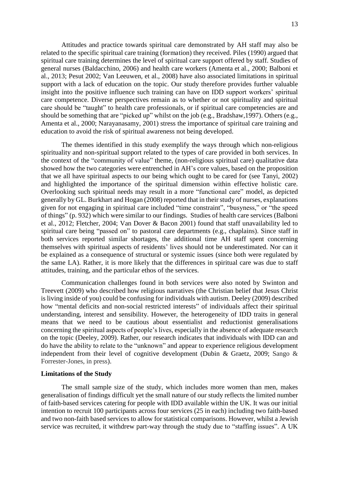Attitudes and practice towards spiritual care demonstrated by AH staff may also be related to the specific spiritual care training (formation) they received. Piles (1990) argued that spiritual care training determines the level of spiritual care support offered by staff. Studies of general nurses (Baldacchino, 2006) and health care workers (Amenta et al., 2000; Balboni et al., 2013; Pesut 2002; Van Leeuwen, et al., 2008) have also associated limitations in spiritual support with a lack of education on the topic. Our study therefore provides further valuable insight into the positive influence such training can have on IDD support workers' spiritual care competence. Diverse perspectives remain as to whether or not spirituality and spiritual care should be "taught" to health care professionals, or if spiritual care competencies are and should be something that are "picked up" whilst on the job (e.g., Bradshaw,1997). Others (e.g., Amenta et al., 2000; Narayanasamy, 2001) stress the importance of spiritual care training and education to avoid the risk of spiritual awareness not being developed.

The themes identified in this study exemplify the ways through which non-religious spirituality and non-spiritual support related to the types of care provided in both services. In the context of the "community of value" theme, (non-religious spiritual care) qualitative data showed how the two categories were entrenched in AH's core values, based on the proposition that we all have spiritual aspects to our being which ought to be cared for (see Tanyi, 2002) and highlighted the importance of the spiritual dimension within effective holistic care. Overlooking such spiritual needs may result in a more "functional care" model, as depicted generally by GL. Burkhart and Hogan (2008) reported that in their study of nurses, explanations given for not engaging in spiritual care included "time constraint", "busyness," or "the speed of things" (p. 932) which were similar to our findings. Studies of health care services (Balboni et al., 2012; Fletcher, 2004; Van Dover & Bacon 2001) found that staff unavailability led to spiritual care being "passed on" to pastoral care departments (e.g., chaplains). Since staff in both services reported similar shortages, the additional time AH staff spent concerning themselves with spiritual aspects of residents' lives should not be underestimated. Nor can it be explained as a consequence of structural or systemic issues (since both were regulated by the same LA). Rather, it is more likely that the differences in spiritual care was due to staff attitudes, training, and the particular ethos of the services.

Communication challenges found in both services were also noted by Swinton and Treevett (2009) who described how religious narratives (the Christian belief that Jesus Christ is living inside of you) could be confusing for individuals with autism. Deeley (2009) described how "mental deficits and non-social restricted interests" of individuals affect their spiritual understanding, interest and sensibility. However, the heterogeneity of IDD traits in general means that we need to be cautious about essentialist and reductionist generalisations concerning the spiritual aspects of people's lives, especially in the absence of adequate research on the topic (Deeley, 2009). Rather, our research indicates that individuals with IDD can and do have the ability to relate to the "unknown" and appear to experience religious development independent from their level of cognitive development (Dubin & Graetz, 2009; Sango & Forrester-Jones, in press).

#### **Limitations of the Study**

The small sample size of the study, which includes more women than men, makes generalisation of findings difficult yet the small nature of our study reflects the limited number of faith-based services catering for people with IDD available within the UK. It was our initial intention to recruit 100 participants across four services (25 in each) including two faith-based and two non-faith based services to allow for statistical comparisons. However, whilst a Jewish service was recruited, it withdrew part-way through the study due to "staffing issues". A UK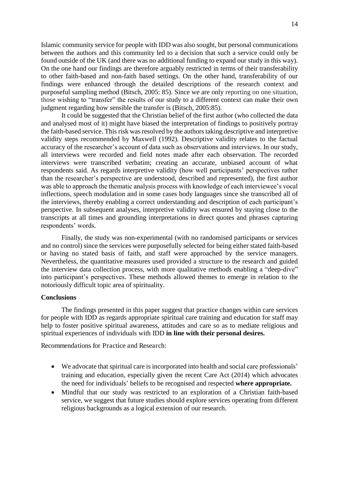Islamic community service for people with IDD was also sought, but personal communications between the authors and this community led to a decision that such a service could only be found outside of the UK (and there was no additional funding to expand our study in this way). On the one hand our findings are therefore arguably restricted in terms of their transferability to other faith-based and non-faith based settings. On the other hand, transferability of our findings were enhanced through the detailed descriptions of the research context and purposeful sampling method (Bitsch, 2005: 85). Since we are only reporting on one situation, those wishing to "transfer" the results of our study to a different context can make their own judgment regarding how sensible the transfer is (Bitsch, 2005:85).

It could be suggested that the Christian belief of the first author (who collected the data and analysed most of it) might have biased the interpretation of findings to positively portray the faith-based service. This risk was resolved by the authors taking descriptive and interpretive validity steps recommended by Maxwell (1992). Descriptive validity relates to the factual accuracy of the researcher's account of data such as observations and interviews. In our study, all interviews were recorded and field notes made after each observation. The recorded interviews were transcribed verbatim; creating an accurate, unbiased account of what respondents said. As regards interpretive validity (how well participants' perspectives rather than the researcher's perspective are understood, described and represented), the first author was able to approach the thematic analysis process with knowledge of each interviewee's vocal inflections, speech modulation and in some cases body languages since she transcribed all of the interviews, thereby enabling a correct understanding and description of each participant's perspective. In subsequent analyses, interpretive validity was ensured by staying close to the transcripts at all times and grounding interpretations in direct quotes and phrases capturing respondents' words.

Finally, the study was non-experimental (with no randomised participants or services and no control) since the services were purposefully selected for being either stated faith-based or having no stated basis of faith, and staff were approached by the service managers. Nevertheless, the quantitative measures used provided a structure to the research and guided the interview data collection process, with more qualitative methods enabling a "deep-dive" into participant's perspectives. These methods allowed themes to emerge in relation to the notoriously difficult topic area of spirituality.

#### **Conclusions**

The findings presented in this paper suggest that practice changes within care services for people with IDD as regards appropriate spiritual care training and education for staff may help to foster positive spiritual awareness, attitudes and care so as to mediate religious and spiritual experiences of individuals with IDD **in line with their personal desires.**

Recommendations for Practice and Research:

- We advocate that spiritual care is incorporated into health and social care professionals' training and education, especially given the recent Care Act (2014) which advocates the need for individuals' beliefs to be recognised and respected **where appropriate.**
- Mindful that our study was restricted to an exploration of a Christian faith-based service, we suggest that future studies should explore services operating from different religious backgrounds as a logical extension of our research.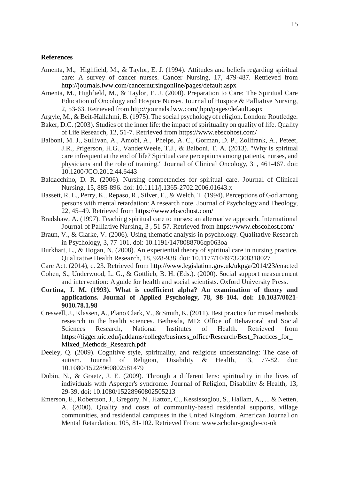#### **References**

- Amenta, M., Highfield, M., & Taylor, E. J. (1994). Attitudes and beliefs regarding spiritual care: A survey of cancer nurses. Cancer Nursing, 17, 479-487. Retrieved from http://journals.lww.com/cancernursingonline/pages/default.aspx
- Amenta, M., Highfield, M., & Taylor, E. J. (2000). Preparation to Care: The Spiritual Care Education of Oncology and Hospice Nurses. Journal of Hospice & Palliative Nursing, 2, 53-63. Retrieved from http://journals.lww.com/jhpn/pages/default.aspx
- Argyle, M., & Beit-Hallahmi, B. (1975). The social psychology of religion. London: Routledge.
- Baker, D.C. (2003). Studies of the inner life: the impact of spirituality on quality of life. Quality of Life Research, 12, 51-7. Retrieved from https://www.ebscohost.com/
- Balboni, M. J., Sullivan, A., Amobi, A., Phelps, A. C., Gorman, D. P., Zollfrank, A., Peteet, J.R., Prigerson, H.G., VanderWeele, T.J., & Balboni, T. A. (2013). "Why is spiritual care infrequent at the end of life? Spiritual care perceptions among patients, nurses, and physicians and the role of training." Journal of Clinical Oncology, 31, 461-467. doi: 10.1200/JCO.2012.44.6443
- Baldacchino, D. R. (2006). Nursing competencies for spiritual care. Journal of Clinical Nursing, 15, 885-896. doi: 10.1111/j.1365-2702.2006.01643.x
- Bassett, R. L., Perry, K., Repaso, R., Silver, E., & Welch, T. (1994). Perceptions of God among persons with mental retardation: A research note. Journal of Psychology and Theology, 22, 45–49. Retrieved from https://www.ebscohost.com/
- Bradshaw, A. (1997). Teaching spiritual care to nurses: an alternative approach. International Journal of Palliative Nursing, 3 , 51-57. Retrieved from https://www.ebscohost.com/
- Braun, V., & Clarke, V. (2006). Using thematic analysis in psychology. Qualitative Research in Psychology, 3, 77-101. doi: 10.1191/1478088706qp063oa
- Burkhart, L., & Hogan, N. (2008). An experiential theory of spiritual care in nursing practice. Qualitative Health Research, 18, 928-938. doi: 10.1177/1049732308318027
- Care Act. (2014), c. 23. Retrieved from http://www.legislation.gov.uk/ukpga/2014/23/enacted
- Cohen, S., Underwood, L. G., & Gottlieb, B. H. (Eds.). (2000). Social support measurement and intervention: A guide for health and social scientists. Oxford University Press.
- **Cortina, J. M. (1993). What is coefficient alpha? An examination of theory and applications. Journal of Applied Psychology, 78, 98–104. doi: 10.1037/0021- 9010.78.1.98**
- Creswell, J., Klassen, A., Plano Clark, V., & Smith, K. (2011). Best practice for mixed methods research in the health sciences. Bethesda, MD: Office of Behavioral and Social Sciences Research, National Institutes of Health. Retrieved from https://tigger.uic.edu/jaddams/college/business\_office/Research/Best\_Practices\_for\_ Mixed\_Methods\_Research.pdf
- Deeley, Q. (2009). Cognitive style, spirituality, and religious understanding: The case of autism. Journal of Religion, Disability & Health, 13, 77-82. doi: 10.1080/15228960802581479
- Dubin, N., & Graetz, J. E. (2009). Through a different lens: spirituality in the lives of individuals with Asperger's syndrome. Journal of Religion, Disability & Health, 13, 29-39. doi: 10.1080/15228960802505213
- Emerson, E., Robertson, J., Gregory, N., Hatton, C., Kessissoglou, S., Hallam, A., ... & Netten, A. (2000). Quality and costs of community-based residential supports, village communities, and residential campuses in the United Kingdom. American Journal on Mental Retardation, 105, 81-102. Retrieved From: www.scholar-google-co-uk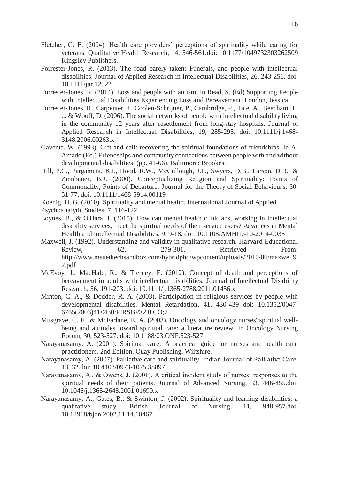- Fletcher, C. E. (2004). Health care providers' perceptions of spirituality while caring for veterans. Qualitative Health Research, 14, 546-561.doi: 10.1177/1049732303262509 Kingsley Publishers.
- Forrester-Jones, R. (2013). The road barely taken: Funerals, and people with intellectual disabilities. Journal of Applied Research in Intellectual Disabilities, 26, 243-256. doi: 10.1111/jar.12022
- Forrester-Jones, R. (2014). Loss and people with autism. In Read, S. (Ed) Supporting People with Intellectual Disabilities Experiencing Loss and Bereavement, London, Jessica
- Forrester-Jones, R., Carpenter, J., Coolen-Schrijner, P., Cambridge, P., Tate, A., Beecham, J., ... & Wooff, D. (2006). The social networks of people with intellectual disability living in the community 12 years after resettlement from long-stay hospitals. Journal of Applied Research in Intellectual Disabilities, 19, 285-295. doi: 10.1111/j.1468- 3148.2006.00263.x
- Gaventa, W. (1993). Gift and call: recovering the spiritual foundations of friendships. In A. Amado (Ed.) Friendships and community connections between people with and without developmental disabilities. (pp. 41-66). Baltimore: Brookes.
- Hill, P.C., Pargament, K.I., Hood, R.W., McCullough, J.P., Swyers, D.B., Larson, D.B., & Zinnbauer, B.J. (2000). Conceptualizing Religion and Spirituality: Points of Commonality, Points of Departure. Journal for the Theory of Social Behaviours, 30, 51-77. doi: 10.1111/1468-5914.00119
- Koenig, H. G. (2010). Spirituality and mental health. International Journal of Applied
- Psychoanalytic Studies, 7, 116-122.
- Loynes, B., & O'Hara, J. (2015). How can mental health clinicians, working in intellectual disability services, meet the spiritual needs of their service users? Advances in Mental Health and Intellectual Disabilities, 9, 9-18. doi: 10.1108/AMHID-10-2014-0035
- Maxwell, J. (1992). Understanding and validity in qualitative research. Harvard Educational Review, 62, 279-301. Retrieved From: http://www.msuedtechsandbox.com/hybridphd/wpcontent/uploads/2010/06/maxwell9 2.pdf
- McEvoy, J., MacHale, R., & Tierney, E. (2012). Concept of death and perceptions of bereavement in adults with intellectual disabilities. Journal of Intellectual Disability Research, 56, 191-203. doi: 10.1111/j.1365-2788.2011.01456.x
- Minton, C. A., & Dodder, R. A. (2003). Participation in religious services by people with developmental disabilities. Mental Retardation, 41, 430-439 doi: 10.1352/0047- 6765(2003)41<430:PIRSBP>2.0.CO;2
- Musgrave, C. F., & McFarlane, E. A. (2003). Oncology and oncology nurses' spiritual wellbeing and attitudes toward spiritual care: a literature review. In Oncology Nursing Forum, 30, 523-527. doi: 10.1188/03.ONF.523-527
- Narayanasamy, A. (2001). Spiritual care: A practical guide for nurses and health care practitioners. 2nd Edition. Quay Publishing, Wiltshire.
- Narayanasamy, A. (2007). Palliative care and spirituality. Indian Journal of Palliative Care, 13, 32.doi: 10.4103/0973-1075.38897
- Narayanasamy, A., & Owens, J. (2001). A critical incident study of nurses' responses to the spiritual needs of their patients. Journal of Advanced Nursing, 33, 446-455.doi: 10.1046/j.1365-2648.2001.01690.x
- Narayanasamy, A., Gates, B., & Swinton, J. (2002). Spirituality and learning disabilities: a qualitative study. British Journal of Nursing, 11, 948-957.doi: 10.12968/bjon.2002.11.14.10467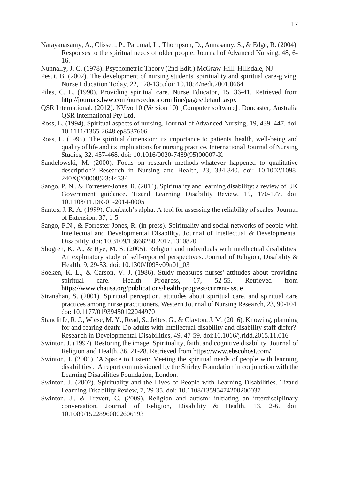- Narayanasamy, A., Clissett, P., Parumal, L., Thompson, D., Annasamy, S., & Edge, R. (2004). Responses to the spiritual needs of older people. Journal of Advanced Nursing, 48, 6- 16.
- Nunnally, J. C. (1978). Psychometric Theory (2nd Edit.) McGraw-Hill. Hillsdale, NJ.
- Pesut, B. (2002). The development of nursing students' spirituality and spiritual care-giving. Nurse Education Today, 22, 128-135.doi: 10.1054/nedt.2001.0664
- Piles, C. L. (1990). Providing spiritual care. Nurse Educator, 15, 36-41. Retrieved from http://journals.lww.com/nurseeducatoronline/pages/default.aspx
- QSR International. (2012). NVivo 10 (Version 10) [Computer software]. Doncaster, Australia QSR International Pty Ltd.
- Ross, L. (1994). Spiritual aspects of nursing. Journal of Advanced Nursing, 19, 439–447. doi: 10.1111/1365-2648.ep8537606
- Ross, L. (1995). The spiritual dimension: its importance to patients' health, well-being and quality of life and its implications for nursing practice. International Journal of Nursing Studies, 32, 457-468. doi: 10.1016/0020-7489(95)00007-K
- Sandelowski, M. (2000). Focus on research methods-whatever happened to qualitative description? Research in Nursing and Health, 23, 334-340. doi: 10.1002/1098- 240X(200008)23:4<334
- Sango, P. N., & Forrester-Jones, R. (2014). Spirituality and learning disability: a review of UK Government guidance. Tizard Learning Disability Review, 19, 170-177. doi: 10.1108/TLDR-01-2014-0005
- Santos, J. R. A. (1999). Cronbach's alpha: A tool for assessing the reliability of scales. Journal of Extension, 37, 1-5.
- Sango, P.N., & Forrester-Jones, R. (in press). Spirituality and social networks of people with Intellectual and Developmental Disability. Journal of Intellectual & Developmental Disability. doi: 10.3109/13668250.2017.1310820
- Shogren, K. A., & Rye, M. S. (2005). Religion and individuals with intellectual disabilities: An exploratory study of self-reported perspectives. Journal of Religion, Disability & Health, 9, 29-53. doi: 10.1300/J095v09n01\_03
- Soeken, K. L., & Carson, V. J. (1986). Study measures nurses' attitudes about providing spiritual care. Health Progress, 67, 52-55. Retrieved from https://www.chausa.org/publications/health-progress/current-issue
- Stranahan, S. (2001). Spiritual perception, attitudes about spiritual care, and spiritual care practices among nurse practitioners. Western Journal of Nursing Research, 23, 90-104. doi: 10.1177/01939450122044970
- Stancliffe, R. J., Wiese, M. Y., Read, S., Jeltes, G., & Clayton, J. M. (2016). Knowing, planning for and fearing death: Do adults with intellectual disability and disability staff differ?. Research in Developmental Disabilities, 49, 47-59. doi:10.1016/j.ridd.2015.11.016
- Swinton, J. (1997). Restoring the image: Spirituality, faith, and cognitive disability. Journal of Religion and Health, 36, 21-28. Retrieved from https://www.ebscohost.com/
- Swinton, J. (2001). 'A Space to Listen: Meeting the spiritual needs of people with learning disabilities'. A report commissioned by the Shirley Foundation in conjunction with the Learning Disabilities Foundation, London.
- Swinton, J. (2002). Spirituality and the Lives of People with Learning Disabilities. Tizard Learning Disability Review, 7, 29-35. doi: 10.1108/13595474200200037
- Swinton, J., & Trevett, C. (2009). Religion and autism: initiating an interdisciplinary conversation. Journal of Religion, Disability & Health, 13, 2-6. doi: 10.1080/15228960802606193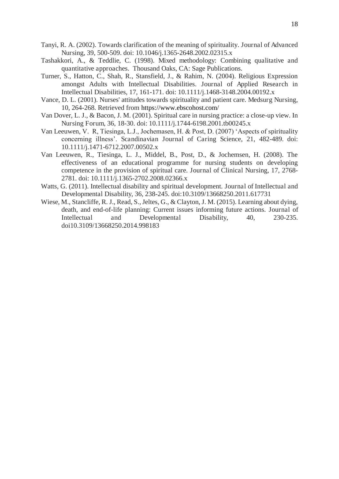- Tanyi, R. A. (2002). Towards clarification of the meaning of spirituality. Journal of Advanced Nursing, 39, 500-509. doi: 10.1046/j.1365-2648.2002.02315.x
- Tashakkori, A., & Teddlie, C. (1998). Mixed methodology: Combining qualitative and quantitative approaches. Thousand Oaks, CA: Sage Publications.
- Turner, S., Hatton, C., Shah, R., Stansfield, J., & Rahim, N. (2004). Religious Expression amongst Adults with Intellectual Disabilities. Journal of Applied Research in Intellectual Disabilities, 17, 161-171. doi: 10.1111/j.1468-3148.2004.00192.x
- Vance, D. L. (2001). Nurses' attitudes towards spirituality and patient care. Medsurg Nursing, 10, 264-268. Retrieved from https://www.ebscohost.com/
- Van Dover, L. J., & Bacon, J. M. (2001). Spiritual care in nursing practice: a close-up view. In Nursing Forum, 36, 18-30. doi: 10.1111/j.1744-6198.2001.tb00245.x
- Van Leeuwen, V. R, Tiesinga, L.J., Jochemasen, H. & Post, D. (2007) 'Aspects of spirituality concerning illness'. Scandinavian Journal of Caring Science, 21, 482-489. doi: 10.1111/j.1471-6712.2007.00502.x
- Van Leeuwen, R., Tiesinga, L. J., Middel, B., Post, D., & Jochemsen, H. (2008). The effectiveness of an educational programme for nursing students on developing competence in the provision of spiritual care. Journal of Clinical Nursing, 17, 2768- 2781. doi: 10.1111/j.1365-2702.2008.02366.x
- Watts, G. (2011). Intellectual disability and spiritual development. Journal of Intellectual and Developmental Disability, 36, 238-245. doi:10.3109/13668250.2011.617731
- Wiese, M., Stancliffe, R. J., Read, S., Jeltes, G., & Clayton, J. M. (2015). Learning about dying, death, and end-of-life planning: Current issues informing future actions. Journal of Intellectual and Developmental Disability, 40, 230-235. doi10.3109/13668250.2014.998183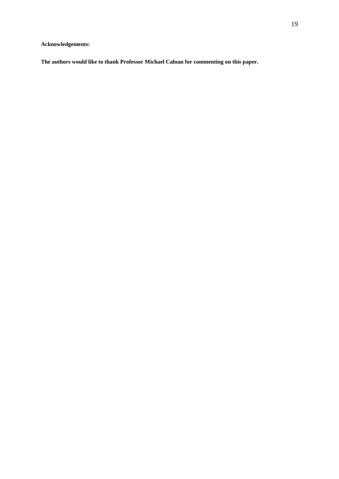**Acknowledgements:** 

**The authors would like to thank Professor Michael Calnan for commenting on this paper.**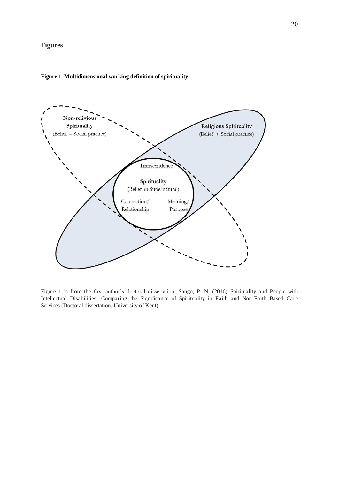#### **Figures**

# Non-religious Spirituality Religious Spirituality (Belief - Social practice) (Belief + Social practice) Transcendence Spirituality (Belief in Supernatural) Connection/ Meaning, Relationship Purpose

#### **Figure 1. Multidimensional working definition of spirituality**

Figure 1 is from the first author's doctoral dissertation: Sango, P. N. (2016). Spirituality and People with Intellectual Disabilities: Comparing the Significance of Spirituality in Faith and Non-Faith Based Care Services (Doctoral dissertation, University of Kent).